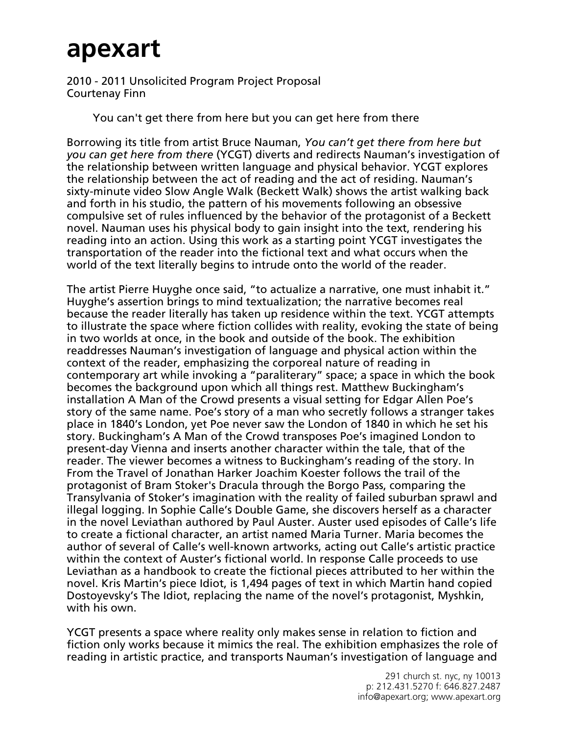## **apexart**

2010 - 2011 Unsolicited Program Project Proposal Courtenay Finn

You can't get there from here but you can get here from there

Borrowing its title from artist Bruce Nauman, *You can't get there from here but you can get here from there* (YCGT) diverts and redirects Nauman's investigation of the relationship between written language and physical behavior. YCGT explores the relationship between the act of reading and the act of residing. Nauman's sixty-minute video Slow Angle Walk (Beckett Walk) shows the artist walking back and forth in his studio, the pattern of his movements following an obsessive compulsive set of rules influenced by the behavior of the protagonist of a Beckett novel. Nauman uses his physical body to gain insight into the text, rendering his reading into an action. Using this work as a starting point YCGT investigates the transportation of the reader into the fictional text and what occurs when the world of the text literally begins to intrude onto the world of the reader.

The artist Pierre Huyghe once said, "to actualize a narrative, one must inhabit it." Huyghe's assertion brings to mind textualization; the narrative becomes real because the reader literally has taken up residence within the text. YCGT attempts to illustrate the space where fiction collides with reality, evoking the state of being in two worlds at once, in the book and outside of the book. The exhibition readdresses Nauman's investigation of language and physical action within the context of the reader, emphasizing the corporeal nature of reading in contemporary art while invoking a "paraliterary" space; a space in which the book becomes the background upon which all things rest. Matthew Buckingham's installation A Man of the Crowd presents a visual setting for Edgar Allen Poe's story of the same name. Poe's story of a man who secretly follows a stranger takes place in 1840's London, yet Poe never saw the London of 1840 in which he set his story. Buckingham's A Man of the Crowd transposes Poe's imagined London to present-day Vienna and inserts another character within the tale, that of the reader. The viewer becomes a witness to Buckingham's reading of the story. In From the Travel of Jonathan Harker Joachim Koester follows the trail of the protagonist of Bram Stoker's Dracula through the Borgo Pass, comparing the Transylvania of Stoker's imagination with the reality of failed suburban sprawl and illegal logging. In Sophie Calle's Double Game, she discovers herself as a character in the novel Leviathan authored by Paul Auster. Auster used episodes of Calle's life to create a fictional character, an artist named Maria Turner. Maria becomes the author of several of Calle's well-known artworks, acting out Calle's artistic practice within the context of Auster's fictional world. In response Calle proceeds to use Leviathan as a handbook to create the fictional pieces attributed to her within the novel. Kris Martin's piece Idiot, is 1,494 pages of text in which Martin hand copied Dostoyevsky's The Idiot, replacing the name of the novel's protagonist, Myshkin, with his own.

YCGT presents a space where reality only makes sense in relation to fiction and fiction only works because it mimics the real. The exhibition emphasizes the role of reading in artistic practice, and transports Nauman's investigation of language and